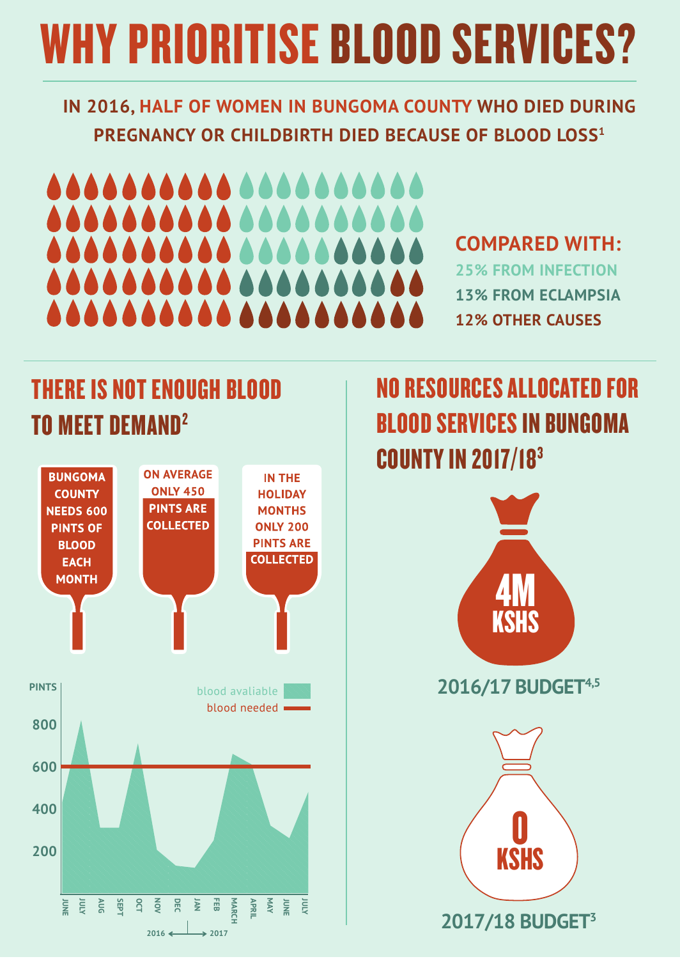## WHY PRIORITISE BLOOD SERVICES?

**IN 2016, HALF OF WOMEN IN BUNGOMA COUNTY WHO DIED DURING PREGNANCY OR CHILDBIRTH DIED BECAUSE OF BLOOD LOSS1**

# AAAAAAAAAA AAAAA

#### **COMPARED WITH:**

**25% FROM INFECTION 13% FROM ECLAMPSIA 12% OTHER CAUSES**

#### THERE IS NOT ENOUGH BLOOD TO MEET DEMAND2



### NO RESOURCES ALLOCATED FOR BLOOD SERVICES IN BUNGOMA COUNTY IN 2017/183



**2016/17 BUDGET4,5**